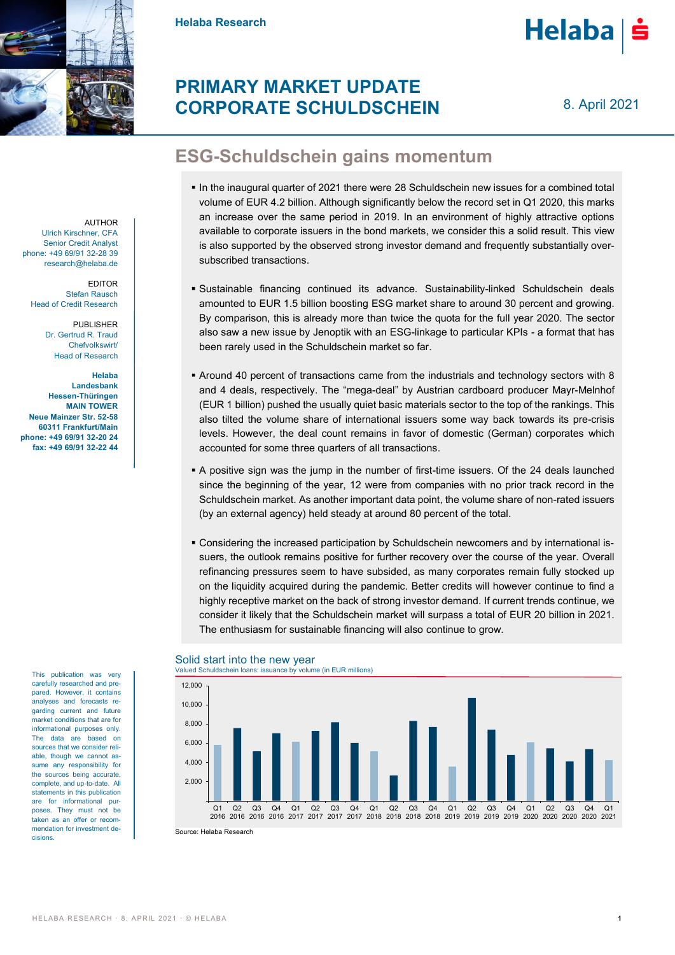

**Helaba Research**



# **PRIMARY MARKET UPDATE CORPORATE SCHULDSCHEIN**

8. April 2021

# **ESG-Schuldschein gains momentum**

- In the inaugural quarter of 2021 there were 28 Schuldschein new issues for a combined total volume of EUR 4.2 billion. Although significantly below the record set in Q1 2020, this marks an increase over the same period in 2019. In an environment of highly attractive options available to corporate issuers in the bond markets, we consider this a solid result. This view is also supported by the observed strong investor demand and frequently substantially oversubscribed transactions.
- Sustainable financing continued its advance. Sustainability-linked Schuldschein deals amounted to EUR 1.5 billion boosting ESG market share to around 30 percent and growing. By comparison, this is already more than twice the quota for the full year 2020. The sector also saw a new issue by Jenoptik with an ESG-linkage to particular KPIs - a format that has been rarely used in the Schuldschein market so far.
- Around 40 percent of transactions came from the industrials and technology sectors with 8 and 4 deals, respectively. The "mega-deal" by Austrian cardboard producer Mayr-Melnhof (EUR 1 billion) pushed the usually quiet basic materials sector to the top of the rankings. This also tilted the volume share of international issuers some way back towards its pre-crisis levels. However, the deal count remains in favor of domestic (German) corporates which accounted for some three quarters of all transactions.
- A positive sign was the jump in the number of first-time issuers. Of the 24 deals launched since the beginning of the year, 12 were from companies with no prior track record in the Schuldschein market. As another important data point, the volume share of non-rated issuers (by an external agency) held steady at around 80 percent of the total.
- Considering the increased participation by Schuldschein newcomers and by international issuers, the outlook remains positive for further recovery over the course of the year. Overall refinancing pressures seem to have subsided, as many corporates remain fully stocked up on the liquidity acquired during the pandemic. Better credits will however continue to find a highly receptive market on the back of strong investor demand. If current trends continue, we consider it likely that the Schuldschein market will surpass a total of EUR 20 billion in 2021. The enthusiasm for sustainable financing will also continue to grow.



## Solid start into the new year

AUTHOR Ulrich Kirschner, CFA Senior Credit Analyst phone: +49 69/91 32-28 39 research@helaba.de

> EDITOR Stefan Rausch Head of Credit Research

> > PUBLISHER Dr. Gertrud R. Traud Chefvolkswirt/ Head of Research

**Helaba Landesbank Hessen-Thüringen MAIN TOWER Neue Mainzer Str. 52-58 60311 Frankfurt/Main phone: +49 69/91 32-20 24 fax: +49 69/91 32-22 44**

> This publication was very carefully researched and prepared. However, it contains analyses and forecasts regarding current and future market conditions that are for informational purposes only. The data are based on sources that we consider reliable, though we cannot assume any responsibility for the sources being accurate, complete, and up-to-date. All statements in this publication are for informational purposes. They must not be taken as an offer or recommendation for investment decisions.

Source: Helaba Research